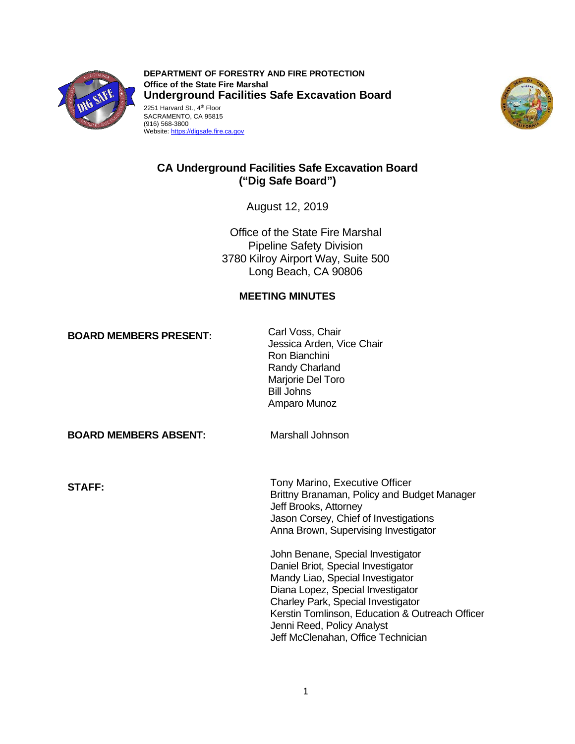

2251 Harvard St., 4<sup>th</sup> Floor **DEPARTMENT OF FORESTRY AND FIRE PROTECTION Office of the State Fire Marshal Underground Facilities Safe Excavation Board**  SACRAMENTO, CA 95815 (916) 568-3800

Website: https://digsafe.fire.ca.gov



# **CA Underground Facilities Safe Excavation Board ("Dig Safe Board")**

August 12, 2019

Office of the State Fire Marshal Pipeline Safety Division 3780 Kilroy Airport Way, Suite 500 Long Beach, CA 90806

### **MEETING MINUTES**

**BOARD MEMBERS PRESENT:** Carl Voss, Chair

Jessica Arden, Vice Chair Ron Bianchini Randy Charland Marjorie Del Toro Bill Johns Amparo Munoz

 **BOARD MEMBERS ABSENT:** Marshall Johnson

**STAFF: TODE STAFF: TODE STAFF: TODE STAFF: TODE STAFF: TODE STAFF: TODE STAFF: TODE STAFF: TODE STAFF: TODE STAFF: TODE STAFF: TODE STAFF: TODE STAFF: TODE STAFF: STAFF: STAFF: STAFF: STA** Brittny Branaman, Policy and Budget Manager Jeff Brooks, Attorney Jason Corsey, Chief of Investigations Anna Brown, Supervising Investigator

> John Benane, Special Investigator Daniel Briot, Special Investigator Mandy Liao, Special Investigator Diana Lopez, Special Investigator Charley Park, Special Investigator Kerstin Tomlinson, Education & Outreach Officer Jenni Reed, Policy Analyst Jeff McClenahan, Office Technician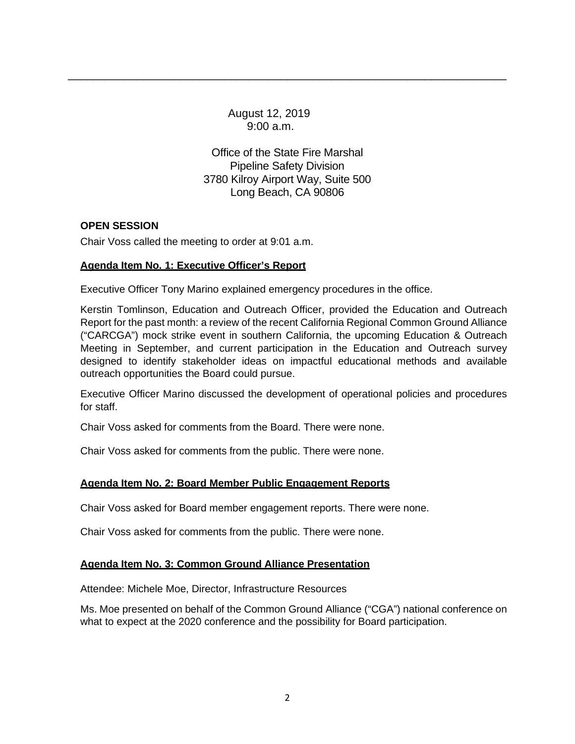August 12, 2019 9:00 a.m.

Office of the State Fire Marshal Pipeline Safety Division 3780 Kilroy Airport Way, Suite 500 Long Beach, CA 90806

\_\_\_\_\_\_\_\_\_\_\_\_\_\_\_\_\_\_\_\_\_\_\_\_\_\_\_\_\_\_\_\_\_\_\_\_\_\_\_\_\_\_\_\_\_\_\_\_\_\_\_\_\_\_\_\_\_\_\_\_\_\_\_\_\_\_\_\_\_\_

### **OPEN SESSION**

Chair Voss called the meeting to order at 9:01 a.m.

# **Agenda Item No. 1: Executive Officer's Report**

Executive Officer Tony Marino explained emergency procedures in the office.

 Kerstin Tomlinson, Education and Outreach Officer, provided the Education and Outreach Meeting in September, and current participation in the Education and Outreach survey Report for the past month: a review of the recent California Regional Common Ground Alliance ("CARCGA") mock strike event in southern California, the upcoming Education & Outreach designed to identify stakeholder ideas on impactful educational methods and available outreach opportunities the Board could pursue.

 Executive Officer Marino discussed the development of operational policies and procedures for staff.

Chair Voss asked for comments from the Board. There were none.

Chair Voss asked for comments from the public. There were none.

# **Agenda Item No. 2: Board Member Public Engagement Reports**

Chair Voss asked for Board member engagement reports. There were none.

Chair Voss asked for comments from the public. There were none.

# **Agenda Item No. 3: Common Ground Alliance Presentation**

Attendee: Michele Moe, Director, Infrastructure Resources

 Ms. Moe presented on behalf of the Common Ground Alliance ("CGA") national conference on what to expect at the 2020 conference and the possibility for Board participation.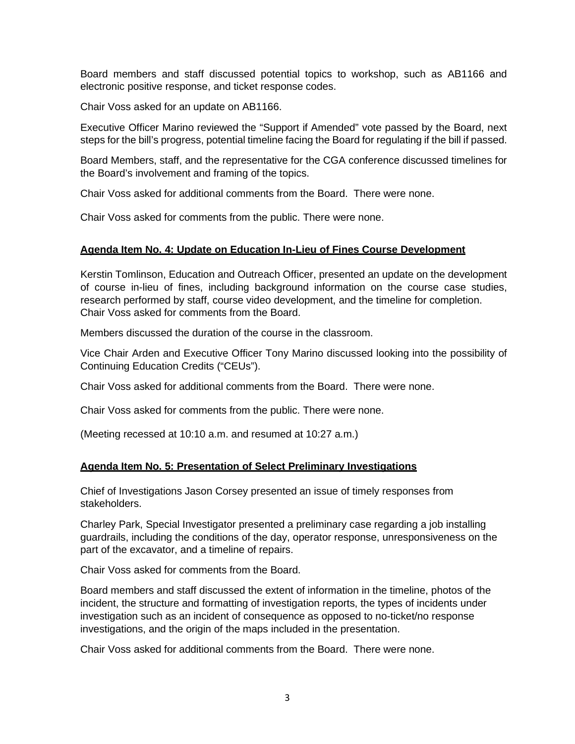Board members and staff discussed potential topics to workshop, such as AB1166 and electronic positive response, and ticket response codes.

Chair Voss asked for an update on AB1166.

 Executive Officer Marino reviewed the "Support if Amended" vote passed by the Board, next steps for the bill's progress, potential timeline facing the Board for regulating if the bill if passed.

 Board Members, staff, and the representative for the CGA conference discussed timelines for the Board's involvement and framing of the topics.

Chair Voss asked for additional comments from the Board. There were none.

Chair Voss asked for comments from the public. There were none.

# **Agenda Item No. 4: Update on Education In-Lieu of Fines Course Development**

 Kerstin Tomlinson, Education and Outreach Officer, presented an update on the development of course in-lieu of fines, including background information on the course case studies, research performed by staff, course video development, and the timeline for completion. Chair Voss asked for comments from the Board.

Members discussed the duration of the course in the classroom.

Vice Chair Arden and Executive Officer Tony Marino discussed looking into the possibility of Continuing Education Credits ("CEUs").

Chair Voss asked for additional comments from the Board. There were none.

Chair Voss asked for comments from the public. There were none.

(Meeting recessed at 10:10 a.m. and resumed at 10:27 a.m.)

### **Agenda Item No. 5: Presentation of Select Preliminary Investigations**

 Chief of Investigations Jason Corsey presented an issue of timely responses from stakeholders.

 guardrails, including the conditions of the day, operator response, unresponsiveness on the Charley Park, Special Investigator presented a preliminary case regarding a job installing part of the excavator, and a timeline of repairs.

Chair Voss asked for comments from the Board.

 Board members and staff discussed the extent of information in the timeline, photos of the incident, the structure and formatting of investigation reports, the types of incidents under investigation such as an incident of consequence as opposed to no-ticket/no response investigations, and the origin of the maps included in the presentation.

Chair Voss asked for additional comments from the Board. There were none.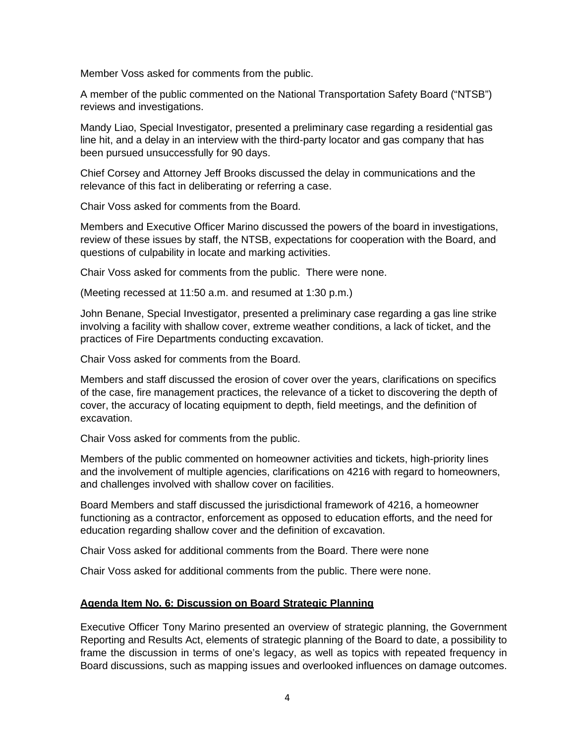Member Voss asked for comments from the public.

A member of the public commented on the National Transportation Safety Board ("NTSB") reviews and investigations.

 Mandy Liao, Special Investigator, presented a preliminary case regarding a residential gas line hit, and a delay in an interview with the third-party locator and gas company that has been pursued unsuccessfully for 90 days.

 relevance of this fact in deliberating or referring a case. Chief Corsey and Attorney Jeff Brooks discussed the delay in communications and the

Chair Voss asked for comments from the Board.

Members and Executive Officer Marino discussed the powers of the board in investigations, review of these issues by staff, the NTSB, expectations for cooperation with the Board, and questions of culpability in locate and marking activities.

Chair Voss asked for comments from the public. There were none.

(Meeting recessed at 11:50 a.m. and resumed at 1:30 p.m.)

 John Benane, Special Investigator, presented a preliminary case regarding a gas line strike involving a facility with shallow cover, extreme weather conditions, a lack of ticket, and the practices of Fire Departments conducting excavation.

Chair Voss asked for comments from the Board.

 of the case, fire management practices, the relevance of a ticket to discovering the depth of Members and staff discussed the erosion of cover over the years, clarifications on specifics cover, the accuracy of locating equipment to depth, field meetings, and the definition of excavation.

Chair Voss asked for comments from the public.

Members of the public commented on homeowner activities and tickets, high-priority lines and the involvement of multiple agencies, clarifications on 4216 with regard to homeowners, and challenges involved with shallow cover on facilities.

 functioning as a contractor, enforcement as opposed to education efforts, and the need for Board Members and staff discussed the jurisdictional framework of 4216, a homeowner education regarding shallow cover and the definition of excavation.

Chair Voss asked for additional comments from the Board. There were none

Chair Voss asked for additional comments from the public. There were none.

### **Agenda Item No. 6: Discussion on Board Strategic Planning**

 Reporting and Results Act, elements of strategic planning of the Board to date, a possibility to frame the discussion in terms of one's legacy, as well as topics with repeated frequency in Executive Officer Tony Marino presented an overview of strategic planning, the Government Board discussions, such as mapping issues and overlooked influences on damage outcomes.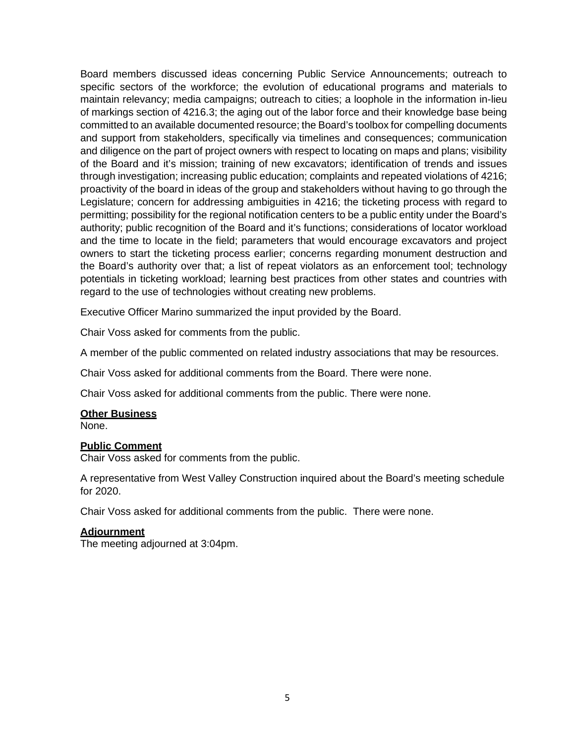specific sectors of the workforce; the evolution of educational programs and materials to committed to an available documented resource; the Board's toolbox for compelling documents of the Board and it's mission; training of new excavators; identification of trends and issues owners to start the ticketing process earlier; concerns regarding monument destruction and the Board's authority over that; a list of repeat violators as an enforcement tool; technology potentials in ticketing workload; learning best practices from other states and countries with Board members discussed ideas concerning Public Service Announcements; outreach to maintain relevancy; media campaigns; outreach to cities; a loophole in the information in-lieu of markings section of 4216.3; the aging out of the labor force and their knowledge base being and support from stakeholders, specifically via timelines and consequences; communication and diligence on the part of project owners with respect to locating on maps and plans; visibility through investigation; increasing public education; complaints and repeated violations of 4216; proactivity of the board in ideas of the group and stakeholders without having to go through the Legislature; concern for addressing ambiguities in 4216; the ticketing process with regard to permitting; possibility for the regional notification centers to be a public entity under the Board's authority; public recognition of the Board and it's functions; considerations of locator workload and the time to locate in the field; parameters that would encourage excavators and project regard to the use of technologies without creating new problems.

Executive Officer Marino summarized the input provided by the Board.

Chair Voss asked for comments from the public.

A member of the public commented on related industry associations that may be resources.

Chair Voss asked for additional comments from the Board. There were none.

Chair Voss asked for additional comments from the public. There were none.

#### **Other Business**

None.

### **Public Comment**

Chair Voss asked for comments from the public.

A representative from West Valley Construction inquired about the Board's meeting schedule for 2020.

Chair Voss asked for additional comments from the public. There were none.

#### **Adjournment**

The meeting adjourned at 3:04pm.